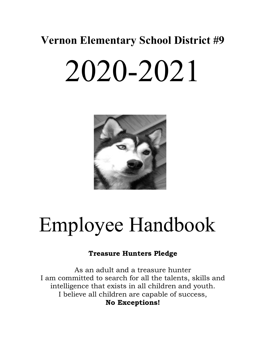# 2020-2021



# Employee Handbook

# **Treasure Hunters Pledge**

As an adult and a treasure hunter I am committed to search for all the talents, skills and intelligence that exists in all children and youth. I believe all children are capable of success, **No Exceptions!**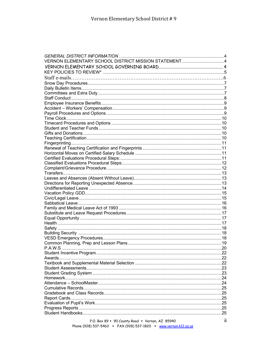| VERNON ELEMENTARY SCHOOL DISTRICT MISSION STATEMENT4 |     |
|------------------------------------------------------|-----|
|                                                      |     |
|                                                      |     |
|                                                      |     |
|                                                      |     |
|                                                      |     |
|                                                      |     |
|                                                      |     |
|                                                      |     |
|                                                      |     |
|                                                      |     |
|                                                      |     |
|                                                      |     |
|                                                      |     |
|                                                      |     |
|                                                      |     |
|                                                      |     |
|                                                      |     |
|                                                      |     |
|                                                      |     |
|                                                      |     |
|                                                      |     |
|                                                      |     |
|                                                      |     |
|                                                      |     |
|                                                      |     |
|                                                      |     |
|                                                      |     |
|                                                      |     |
|                                                      |     |
|                                                      |     |
|                                                      |     |
|                                                      |     |
|                                                      |     |
|                                                      |     |
|                                                      |     |
|                                                      |     |
| P.A.W.S.                                             | 20  |
|                                                      |     |
|                                                      |     |
|                                                      |     |
|                                                      |     |
|                                                      |     |
|                                                      |     |
|                                                      | .24 |
|                                                      |     |
|                                                      |     |
|                                                      |     |
|                                                      |     |
|                                                      |     |
|                                                      |     |

 $\ddot{\text{II}}$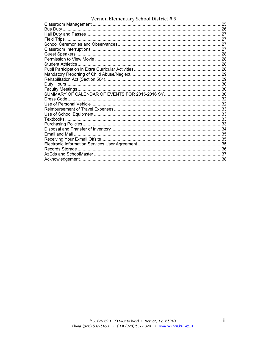| $\alpha$ chon literature $\gamma$ behoof bistrict $\beta$ |  |
|-----------------------------------------------------------|--|
|                                                           |  |
|                                                           |  |
|                                                           |  |
|                                                           |  |
|                                                           |  |
|                                                           |  |
|                                                           |  |
|                                                           |  |
| Student Athletics.                                        |  |
|                                                           |  |
|                                                           |  |
|                                                           |  |
|                                                           |  |
|                                                           |  |
|                                                           |  |
|                                                           |  |
|                                                           |  |
|                                                           |  |
|                                                           |  |
|                                                           |  |
|                                                           |  |
|                                                           |  |
|                                                           |  |
|                                                           |  |
|                                                           |  |
|                                                           |  |
|                                                           |  |
|                                                           |  |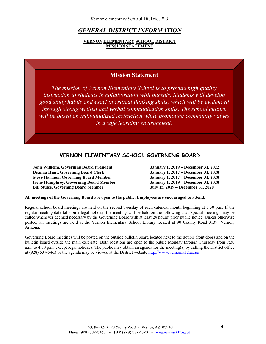# *GENERAL DISTRICT INFORMATION*

#### **VERNON ELEMENTARY SCHOOL DISTRICT MISSION STATEMENT**

# **Mission Statement**

*The mission of Vernon Elementary School is to provide high quality instruction to students in collaboration with parents. Students will develop good study habits and excel in critical thinking skills, which will be evidenced through strong written and verbal communication skills. The school culture will be based on individualized instruction while promoting community values in a safe learning environment.* 

# **VERNON ELEMENTARY SCHOOL GOVERNING BOARD**

**John Wilhelm, Governing Board President January 1, 2019 – December 31, 2022 Deanna Hunt, Governing Board Clerk January 1, 2017 – December 31, 2020 Steve Harmon, Governing Board Member Irene Humphrey, Governing Board Member January 1, 2019 – December 31, 2020 Bill Stulce, Governing Board Member July 15, 2019 – December 31, 2020**

**All meetings of the Governing Board are open to the public. Employees are encouraged to attend.**

Regular school board meetings are held on the second Tuesday of each calendar month beginning at 5:30 p.m. If the regular meeting date falls on a legal holiday, the meeting will be held on the following day. Special meetings may be called whenever deemed necessary by the Governing Board with at least 24 hours' prior public notice. Unless otherwise posted, all meetings are held at the Vernon Elementary School Library located at 90 County Road 3139, Vernon, Arizona.

Governing Board meetings will be posted on the outside bulletin board located next to the double front doors and on the bulletin board outside the main exit gate. Both locations are open to the public Monday through Thursday from 7:30 a.m. to 4:30 p.m. except legal holidays. The public may obtain an agenda for the meeting(s) by calling the District office at (928) 537-5463 or the agenda may be viewed at the District website http://www.vernon.k12.az.us.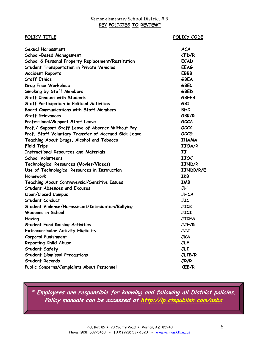#### **POLICY TITLE** POLICY CODE

| <b>Sexual Harassment</b>                             | ACA           |
|------------------------------------------------------|---------------|
| <b>School-Based Management</b>                       | CFD/R         |
| School & Personal Property Replacement/Restitution   | <b>ECAD</b>   |
| <b>Student Transportation in Private Vehicles</b>    | <b>EEAG</b>   |
| <b>Accident Reports</b>                              | <b>EBBB</b>   |
| <b>Staff Ethics</b>                                  | GBEA          |
| Drug Free Workplace                                  | GBEC          |
| Smoking by Staff Members                             | GBED          |
| <b>Staff Conduct with Students</b>                   | <b>GBEEB</b>  |
| <b>Staff Participation in Political Activities</b>   | <b>GBI</b>    |
| <b>Board Communications with Staff Members</b>       | <b>BHC</b>    |
| <b>Staff Grievances</b>                              | GBK/R         |
| Professional/Support Staff Leave                     | <b>GCCA</b>   |
| Prof./ Support Staff Leave of Absence Without Pay    | GCCC          |
| Prof. Staff Voluntary Transfer of Accrued Sick Leave | GCCG          |
| Teaching About Drugs, Alcohol and Tobacco            | <b>IHAMA</b>  |
| <b>Field Trips</b>                                   | <b>IJOA/R</b> |
| Instructional Resources and Materials                | IJ            |
| <b>School Volunteers</b>                             | <b>IJOC</b>   |
| Technological Resources (Movies/Videos)              | IJND/R        |
| Use of Technological Resources in Instruction        | IJNDB/R/E     |
| Homework                                             | IKB           |
| Teaching About Controversial/Sensitive Issues        | <b>IMB</b>    |
| <b>Student Absences and Excuses</b>                  | <b>JH</b>     |
| <b>Open/Closed Campus</b>                            | JHCA          |
| <b>Student Conduct</b>                               | JIC           |
| Student Violence/Harassment/Intimidation/Bullying    | JICK          |
| <b>Weapons in School</b>                             | <b>JICI</b>   |
| Hazing                                               | JICFA         |
| <b>Student Fund Raising Activities</b>               | JJE/R         |
| <b>Extracurricular Activity Eligibility</b>          | JJJ           |
| <b>Corporal Punishment</b>                           | JKA           |
| Reporting Child Abuse                                | <b>JLF</b>    |
| <b>Student Safety</b>                                | <b>JLI</b>    |
| <b>Student Dismissal Precautions</b>                 | JLIB/R        |
| <b>Student Records</b>                               | JR/R          |
| Public Concerns/Complaints About Personnel           | <b>KEB/R</b>  |

**\* Employees are responsible for knowing and following all District policies. Policy manuals can be accessed at http://lp.ctspublish.com/asba**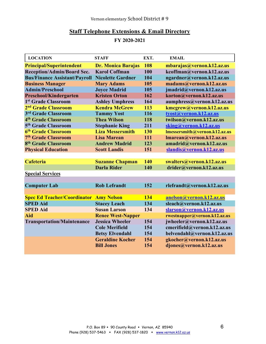# **Staff Telephone Extensions & Email Directory**

**FY 2020-2021**

| <b>LOCATION</b>                               | <b>STAFF</b>              | EXT. | <b>EMAIL</b>                  |
|-----------------------------------------------|---------------------------|------|-------------------------------|
| <b>Principal/Superintendent</b>               | <b>Dr. Monica Barajas</b> | 108  | mbarajas@vernon.k12.az.us     |
| <b>Reception/Admin/Board Sec.</b>             | <b>Karol Coffman</b>      | 100  | kcoffman@vernon.k12.az.us     |
| <b>Bus/Finance Assistant/Payroll</b>          | <b>Nicolette Gardner</b>  | 104  | ngardner@vernon.k12.az.us     |
| <b>Business Manager</b>                       | <b>Mary Adams</b>         | 105  | madams@vernon.k12.az.us       |
| <b>Admin/Preschool</b>                        | <b>Joyce Madrid</b>       | 105  | jmadrid@vernon.k12.az.us      |
| <b>Preschool/Kindergarten</b>                 | <b>Kristen Orton</b>      | 162  | korton@vernon.k12.az.us       |
| 1st Grade Classroom                           | <b>Ashley Umphress</b>    | 164  | aumphress@vernon.k12.az.us    |
| 2 <sup>nd</sup> Grade Classroom               | <b>Kendra McGrew</b>      | 113  | kmcgrew@vernon.k12.az.us      |
| 3rd Grade Classroom                           | <b>Tammy Yost</b>         | 116  | tyost@vernon.k12.az.us        |
| 4 <sup>th</sup> Grade Classroom               | <b>Thea Wilson</b>        | 118  | twilson@vernon.k12.az.us      |
| 5 <sup>th</sup> Grade Classroom               | <b>Stephanie King</b>     | 211  | sking@vernon.k12.az.us        |
| 6th Grade Classroom                           | <b>Liza Messersmith</b>   | 130  | Imessersmith@vernon.k12.az.us |
| 7th Grade Classroom                           | <b>Lisa Marean</b>        | 111  | Imarean@vernon.k12.az.us      |
| 8 <sup>th</sup> Grade Classroom               | <b>Andrew Madrid</b>      | 123  | amadrid@vernon.k12.az.us      |
| <b>Physical Education</b>                     | <b>Scott Landis</b>       | 151  | slandis@vernon.k12.az.us      |
|                                               |                           |      |                               |
| <b>Cafeteria</b>                              | <b>Suzanne Chapman</b>    | 140  | swalters@vernon.k12.az.us     |
|                                               | <b>Darla Rider</b>        | 140  | drider@vernon.k12.az.us       |
| <b>Special Services</b>                       |                           |      |                               |
|                                               |                           |      |                               |
| <b>Computer Lab</b>                           | <b>Rob Lefrandt</b>       | 152  | rlefrandt@vernon.k12.az.us    |
|                                               |                           |      |                               |
| <b>Spec Ed Teacher/Coordinator Amy Nelson</b> |                           | 134  | anelson@vernon.k12.az.us      |
| <b>SPED Aid</b>                               | <b>Stacey Leach</b>       | 134  | sleach@vernon.k12.az.us       |
| <b>SPED Aid</b>                               | <b>Susan Larson</b>       | 134  | slarson@vernon.k12.az.us      |
| Aid                                           | <b>Renee West-Napper</b>  |      | rwestnapper@vernon.k12.az.us  |
| <b>Transportation/Maintenance</b>             | <b>Jessica Wheeler</b>    | 154  | jwheeler@vernon.k12.az.us     |
|                                               | <b>Cole Merifield</b>     | 154  | cmerifield@vernon.k12.az.us   |
|                                               | <b>Betsy Elvendahl</b>    | 154  | belvendahl@vernon.k12.az.us   |
|                                               | <b>Geraldine Kocher</b>   | 154  | gkocher@vernon.k12.az.us      |
|                                               | <b>Bill Jones</b>         | 154  | djones@vernon.k12.az.us       |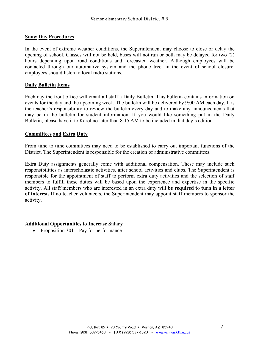# **Snow Day Procedures**

In the event of extreme weather conditions, the Superintendent may choose to close or delay the opening of school. Classes will not be held, buses will not run or both may be delayed for two (2) hours depending upon road conditions and forecasted weather. Although employees will be contacted through our automative system and the phone tree, in the event of school closure, employees should listen to local radio stations.

# **Daily Bulletin Items**

Each day the front office will email all staff a Daily Bulletin. This bulletin contains information on events for the day and the upcoming week. The bulletin will be delivered by 9:00 AM each day. It is the teacher's responsibility to review the bulletin every day and to make any announcements that may be in the bulletin for student information. If you would like something put in the Daily Bulletin, please have it to Karol no later than 8:15 AM to be included in that day's edition.

# **Committees and Extra Duty**

From time to time committees may need to be established to carry out important functions of the District. The Superintendent is responsible for the creation of administrative committees.

Extra Duty assignments generally come with additional compensation. These may include such responsibilities as interscholastic activities, after school activities and clubs. The Superintendent is responsible for the appointment of staff to perform extra duty activities and the selection of staff members to fulfill these duties will be based upon the experience and expertise in the specific activity. All staff members who are interested in an extra duty will **be required to turn in a letter of interest.** If no teacher volunteers, the Superintendent may appoint staff members to sponsor the activity.

# **Additional Opportunities to Increase Salary**

• Proposition  $301 - Pay$  for performance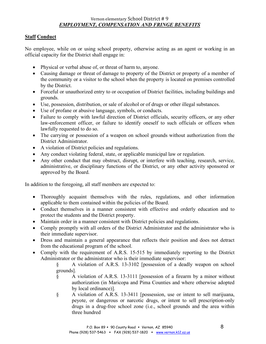# **Staff Conduct**

No employee, while on or using school property, otherwise acting as an agent or working in an official capacity for the District shall engage in:

- Physical or verbal abuse of, or threat of harm to, anyone.
- Causing damage or threat of damage to property of the District or property of a member of the community or a visitor to the school when the property is located on premises controlled by the District.
- Forceful or unauthorized entry to or occupation of District facilities, including buildings and grounds.
- Use, possession, distribution, or sale of alcohol or of drugs or other illegal substances.
- Use of profane or abusive language, symbols, or conducts.
- Failure to comply with lawful direction of District officials, security officers, or any other law-enforcement officer, or failure to identify oneself to such officials or officers when lawfully requested to do so.
- The carrying or possession of a weapon on school grounds without authorization from the District Administrator.
- A violation of District policies and regulations.
- Any conduct violating federal, state, or applicable municipal law or regulation.
- Any other conduct that may obstruct, disrupt, or interfere with teaching, research, service, administrative, or disciplinary functions of the District, or any other activity sponsored or approved by the Board.

In addition to the foregoing, all staff members are expected to:

- Thoroughly acquaint themselves with the rules, regulations, and other information applicable to them contained within the policies of the Board.
- Conduct themselves in a manner consistent with effective and orderly education and to protect the students and the District property.
- Maintain order in a manner consistent with District policies and regulations.
- Comply promptly with all orders of the District Administrator and the administrator who is their immediate supervisor.
- Dress and maintain a general appearance that reflects their position and does not detract from the educational program of the school.
- Comply with the requirement of A.R.S. 15-515 by immediately reporting to the District Administrator or the administrator who is their immediate supervisor:

§ A violation of A.R.S. 13-3102 [possession of a deadly weapon on school grounds].

- § A violation of A.R.S. 13-3111 [possession of a firearm by a minor without authorization (in Maricopa and Pima Counties and where otherwise adopted by local ordinance)].
- § A violation of A.R.S. 13-3411 [possession, use or intent to sell marijuana, peyote, or dangerous or narcotic drugs, or intent to sell prescription-only drugs in a drug-free school zone (i.e., school grounds and the area within three hundred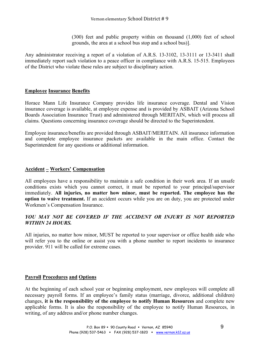(300) feet and public property within on thousand (1,000) feet of school grounds, the area at a school bus stop and a school bus)].

Any administrator receiving a report of a violation of A.R.S. 13-3102, 13-3111 or 13-3411 shall immediately report such violation to a peace officer in compliance with A.R.S. 15-515. Employees of the District who violate these rules are subject to disciplinary action.

# **Employee Insurance Benefits**

Horace Mann Life Insurance Company provides life insurance coverage. Dental and Vision insurance coverage is available, at employee expense and is provided by ASBAIT (Arizona School Boards Association Insurance Trust) and administered through MERITAIN, which will process all claims. Questions concerning insurance coverage should be directed to the Superintendent.

Employee insurance/benefits are provided through ASBAIT/MERITAIN. All insurance information and complete employee insurance packets are available in the main office. Contact the Superintendent for any questions or additional information.

# **Accident – Workers' Compensation**

All employees have a responsibility to maintain a safe condition in their work area. If an unsafe conditions exists which you cannot correct, it must be reported to your principal/supervisor immediately. **All injuries, no matter how minor, must be reported. The employee has the option to waive treatment.** If an accident occurs while you are on duty, you are protected under Workmen's Compensation Insurance.

# YOU MAY NOT BE COVERED IF THE ACCIDENT OR INJURY IS NOT REPORTED *WITHIN 24 HOURS.*

All injuries, no matter how minor, MUST be reported to your supervisor or office health aide who will refer you to the online or assist you with a phone number to report incidents to insurance provider. 911 will be called for extreme cases.

# **Payroll Procedures and Options**

At the beginning of each school year or beginning employment, new employees will complete all necessary payroll forms. If an employee's family status (marriage, divorce, additional children) changes, **it is the responsibility of the employee to notify Human Resources** and complete new applicable forms. It is also the responsibility of the employee to notify Human Resources, in writing, of any address and/or phone number changes.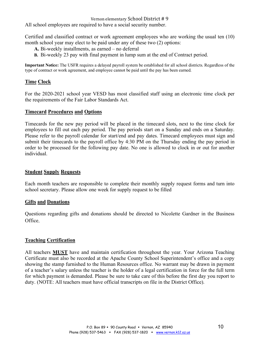All school employees are required to have a social security number.

Certified and classified contract or work agreement employees who are working the usual ten (10) month school year may elect to be paid under any of these two (2) options:

- **A.** Bi-weekly installments, as earned no deferral
- **B.** Bi-weekly 23 pay with final payment in lump sum at the end of Contract period.

**Important Notice:** The USFR requires a delayed payroll system be established for all school districts. Regardless of the type of contract or work agreement, and employee cannot be paid until the pay has been earned.

# **Time Clock**

For the 2020-2021 school year VESD has most classified staff using an electronic time clock per the requirements of the Fair Labor Standards Act.

# **Timecard Procedures and Options**

Timecards for the new pay period will be placed in the timecard slots, next to the time clock for employees to fill out each pay period. The pay periods start on a Sunday and ends on a Saturday. Please refer to the payroll calendar for start/end and pay dates. Timecard employees must sign and submit their timecards to the payroll office by 4:30 PM on the Thursday ending the pay period in order to be processed for the following pay date. No one is allowed to clock in or out for another individual.

# **Student Supply Requests**

Each month teachers are responsible to complete their monthly supply request forms and turn into school secretary. Please allow one week for supply request to be filled

# **Gifts and Donations**

Questions regarding gifts and donations should be directed to Nicolette Gardner in the Business Office.

# **Teaching Certification**

All teachers **MUST** have and maintain certification throughout the year. Your Arizona Teaching Certificate must also be recorded at the Apache County School Superintendent's office and a copy showing the stamp furnished to the Human Resources office. No warrant may be drawn in payment of a teacher's salary unless the teacher is the holder of a legal certification in force for the full term for which payment is demanded. Please be sure to take care of this before the first day you report to duty. (NOTE: All teachers must have official transcripts on file in the District Office).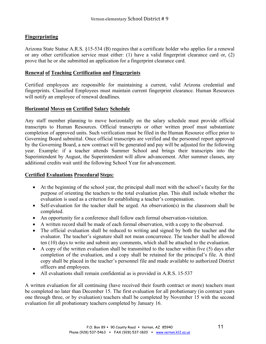# **Fingerprinting**

Arizona State Statue A.R.S. §15-534 (B) requires that a certificate holder who applies for a renewal or any other certification service must either: (1) have a valid fingerprint clearance card or, (2) prove that he or she submitted an application for a fingerprint clearance card.

# **Renewal of Teaching Certification and Fingerprints**

Certified employees are responsible for maintaining a current, valid Arizona credential and fingerprints. Classified Employees must maintain current fingerprint clearance. Human Resources will notify an employee of renewal deadlines.

# **Horizontal Moves on Certified Salary Schedule**

Any staff member planning to move horizontally on the salary schedule must provide official transcripts to Human Resources. Official transcripts or other written proof must substantiate completion of approved units. Such verification must be filed in the Human Resource office prior to Governing Board submittal. Once official transcripts are verified and the personnel report approved by the Governing Board, a new contract will be generated and pay will be adjusted for the following year. Example: if a teacher attends Summer School and brings their transcripts into the Superintendent by August, the Superintendent will allow advancement. After summer classes, any additional credits wait until the following School Year for advancement.

# **Certified Evaluations Procedural Steps:**

- At the beginning of the school year, the principal shall meet with the school's faculty for the purpose of orienting the teachers to the total evaluation plan. This shall include whether the evaluation is used as a criterion for establishing a teacher's compensation.
- Self-evaluation for the teacher shall be urged. An observation(s) in the classroom shall be completed.
- An opportunity for a conference shall follow each formal observation-visitation.
- A written record shall be made of each formal observation, with a copy to the observed.
- The official evaluation shall be reduced to writing and signed by both the teacher and the evaluator. The teacher's signature shall not mean concurrence. The teacher shall be allowed ten (10) days to write and submit any comments, which shall be attached to the evaluation.
- A copy of the written evaluation shall be transmitted to the teacher within five (5) days after completion of the evaluation, and a copy shall be retained for the principal's file. A third copy shall be placed in the teacher's personnel file and made available to authorized District officers and employees.
- All evaluations shall remain confidential as is provided in A.R.S. 15-537

A written evaluation for all continuing (have received their fourth contract or more) teachers must be completed no later than December 15. The first evaluation for all probationary (in contract years one through three, or by evaluation) teachers shall be completed by November 15 with the second evaluation for all probationary teachers completed by January 16.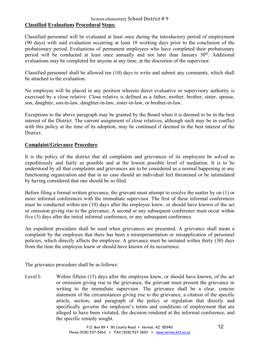# **Classified Evaluations Procedural Steps:**

Classified personnel will be evaluated at least once during the introductory period of employment (90 days) with said evaluation occurring at least 10 working days prior to the conclusion of the probationary period. Evaluations of permanent employees who have completed their probationary period will be conducted at least once annually and not later than January  $30<sup>th</sup>$ . Additional evaluations may be completed for anyone at any time, at the discretion of the supervisor.

Classified personnel shall be allowed ten (10) days to write and submit any comments, which shall be attached to the evaluation.

No employee will be placed in any position wherein direct evaluative or supervisory authority is exercised by a close relative. Close relative is defined as a father, mother, brother, sister, spouse, son, daughter, son-in-law, daughter-in-law, sister-in-law, or brother-in-law.

Exceptions to the above paragraph may be granted by the Board when it is deemed to be in the best interest of the District. The current assignment of close relatives, although such may be in conflict with this policy at the time of its adoption, may be continued if deemed in the best interest of the District.

# **Complaint/Grievance Procedure**

It is the policy of the district that all complaints and grievances of its employees be solved as expeditiously and fairly as possible and at the lowest possible level of mediation. It is to be understood by all that complaints and grievances are to be considered as a normal happening in any functioning organization and that in no case should an individual feel threatened or be intimidated by having considered that one should be so filed.

Before filing a formal written grievance, the grievant must attempt to resolve the matter by on (1) or more informal conferences with the immediate supervisor. The first of these informal conferences must be conducted within ten (10) days after the employee knew, or should have known of the act or omission giving rise to the grievance. A second or any subsequent conference must occur within five (5) days after the initial informal conference, or any subsequent conference.

An expedient procedure shall be used when grievances are presented. A grievance shall mean a complaint by the employee that there has been a misrepresentation or misapplication of personnel policies, which directly affects the employee. A grievance must be initiated within thirty (30) days from the time the employee knew or should have known of its occurrence.

The grievance procedure shall be as follows:

Level I: Within fifteen (15) days after the employee knew, or should have known, of the act or omission giving rise to the grievance, the grievant must present the grievance in writing to the immediate supervisor. The grievance shall be a clear, concise statement of the circumstances giving rise to the grievance, a citation of the specific article, section, and paragraph of the policy or regulation that directly and specifically governs the employee's terms and conditions of employment that are alleged to have been violated, the decision rendered at the informal conference, and the specific remedy sought.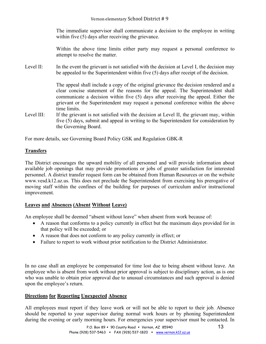The immediate supervisor shall communicate a decision to the employee in writing within five (5) days after receiving the grievance.

Within the above time limits either party may request a personal conference to attempt to resolve the matter.

Level II: In the event the grievant is not satisfied with the decision at Level I, the decision may be appealed to the Superintendent within five (5) days after receipt of the decision.

> The appeal shall include a copy of the original grievance the decision rendered and a clear concise statement of the reasons for the appeal. The Superintendent shall communicate a decision within five (5) days after receiving the appeal. Either the grievant or the Superintendent may request a personal conference within the above time limits.

Level III: If the grievant is not satisfied with the decision at Level II, the grievant may, within five (5) days, submit and appeal in writing to the Superintendent for consideration by the Governing Board.

For more details, see Governing Board Policy GSK and Regulation GBK-R

# **Transfers**

The District encourages the upward mobility of all personnel and will provide information about available job openings that may provide promotions or jobs of greater satisfaction for interested personnel. A district transfer request form can be obtained from Human Resources or on the website www.vesd.k12.az.us. This does not preclude the Superintendent from exercising his prerogative of moving staff within the confines of the building for purposes of curriculum and/or instructional improvement.

# **Leaves and Absences (Absent Without Leave)**

An employee shall be deemed "absent without leave" when absent from work because of:

- A reason that conforms to a policy currently in effect but the maximum days provided for in that policy will be exceeded; or
- A reason that does not conform to any policy currently in effect; or
- Failure to report to work without prior notification to the District Administrator.

In no case shall an employee be compensated for time lost due to being absent without leave. An employee who is absent from work without prior approval is subject to disciplinary action, as is one who was unable to obtain prior approval due to unusual circumstances and such approval is denied upon the employee's return.

# **Directions for Reporting Unexpected Absence**

All employees must report if they leave work or will not be able to report to their job. Absence should be reported to your supervisor during normal work hours or by phoning Superintendent during the evening or early morning hours. For emergencies your supervisor must be contacted. In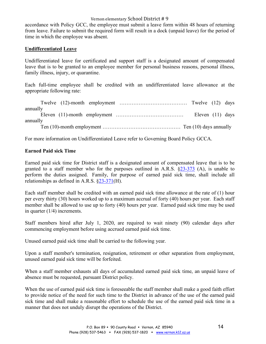accordance with Policy GCC, the employee must submit a leave form within 48 hours of returning from leave. Failure to submit the required form will result in a dock (unpaid leave) for the period of time in which the employee was absent.

# **Undifferentiated Leave**

Undifferentiated leave for certificated and support staff is a designated amount of compensated leave that is to be granted to an employee member for personal business reasons, personal illness, family illness, injury, or quarantine.

Each full-time employee shall be credited with an undifferentiated leave allowance at the appropriate following rate:

| annually |  |  |                    |  |
|----------|--|--|--------------------|--|
|          |  |  | Eleven $(11)$ days |  |
| annually |  |  |                    |  |
|          |  |  |                    |  |

For more information on Undifferentiated Leave refer to Governing Board Policy GCCA.

# **Earned Paid sick Time**

Earned paid sick time for District staff is a designated amount of compensated leave that is to be granted to a staff member who for the purposes outlined in A.R.S. §23-373 (A), is unable to perform the duties assigned. Family, for purpose of earned paid sick time, shall include all relationships as defined in A.R.S. §23-371(H).

Each staff member shall be credited with an earned paid sick time allowance at the rate of (1) hour per every thirty (30) hours worked up to a maximum accrual of forty (40) hours per year. Each staff member shall be allowed to use up to forty (40) hours per year. Earned paid sick time may be used in quarter (1/4) increments.

Staff members hired after July 1, 2020, are required to wait ninety (90) calendar days after commencing employment before using accrued earned paid sick time.

Unused earned paid sick time shall be carried to the following year.

Upon a staff member's termination, resignation, retirement or other separation from employment, unused earned paid sick time will be forfeited.

When a staff member exhausts all days of accumulated earned paid sick time, an unpaid leave of absence must be requested, pursuant District policy.

When the use of earned paid sick time is foreseeable the staff member shall make a good faith effort to provide notice of the need for such time to the District in advance of the use of the earned paid sick time and shall make a reasonable effort to schedule the use of the earned paid sick time in a manner that does not unduly disrupt the operations of the District.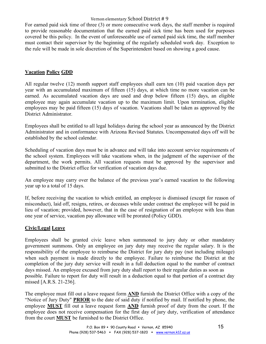For earned paid sick time of three (3) or more consecutive work days, the staff member is required to provide reasonable documentation that the earned paid sick time has been used for purposes covered be this policy. In the event of unforeseeable use of earned paid sick time, the staff member must contact their supervisor by the beginning of the regularly scheduled work day. Exception to the rule will be made in sole discretion of the Superintendent based on showing a good cause.

# **Vacation Policy GDD**

All regular twelve (12) month support staff employees shall earn ten (10) paid vacation days per year with an accumulated maximum of fifteen (15) days, at which time no more vacation can be earned. As accumulated vacation days are used and drop below fifteen (15) days, an eligible employee may again accumulate vacation up to the maximum limit. Upon termination, eligible employees may be paid fifteen (15) days of vacation. Vacations shall be taken as approved by the District Administrator.

Employees shall be entitled to all legal holidays during the school year as announced by the District Administrator and in conformance with Arizona Revised Statutes. Uncompensated days off will be established by the school calendar.

Scheduling of vacation days must be in advance and will take into account service requirements of the school system. Employees will take vacations when, in the judgment of the supervisor of the department, the work permits. All vacation requests must be approved by the supervisor and submitted to the District office for verification of vacation days due.

An employee may carry over the balance of the previous year's earned vacation to the following year up to a total of 15 days.

If, before receiving the vacation to which entitled, an employee is dismissed (except for reason of misconduct), laid off, resigns, retires, or deceases while under contract the employee will be paid in lieu of vacation; provided, however, that in the case of resignation of an employee with less than one year of service, vacation pay allowance will be prorated (Policy GDD).

# **Civic/Legal Leave**

Employees shall be granted civic leave when summoned to jury duty or other mandatory government summons. Only an employee on jury duty may receive the regular salary. It is the responsibility of the employee to reimburse the District for jury duty pay (not including mileage) when such payment is made directly to the employee. Failure to reimburse the District at the completion of the jury duty service will result in a full deduction equal to the number of contract days missed. An employee excused from jury duty shall report to their regular duties as soon as possible. Failure to report for duty will result in a deduction equal to that portion of a contract day missed [A.R.S. 21-236].

The employee must fill out a leave request form **AND** furnish the District Office with a copy of the "Notice of Jury Duty" **PRIOR** to the date of said duty if notified by mail. If notified by phone, the employee **MUST** fill out a leave request form **AND** furnish proof of duty from the court. If the employee does not receive compensation for the first day of jury duty, verification of attendance from the court **MUST** be furnished to the District Office.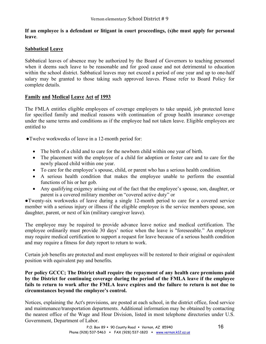**If an employee is a defendant or litigant in court proceedings, (s)he must apply for personal leave**.

# **Sabbatical Leave**

Sabbatical leaves of absence may be authorized by the Board of Governors to teaching personnel when it deems such leave to be reasonable and for good cause and not detrimental to education within the school district. Sabbatical leaves may not exceed a period of one year and up to one-half salary may be granted to those taking such approved leaves. Please refer to Board Policy for complete details.

# **Family and Medical Leave Act of 1993**

The FMLA entitles eligible employees of coverage employers to take unpaid, job protected leave for specified family and medical reasons with continuation of group health insurance coverage under the same terms and conditions as if the employee had not taken leave. Eligible employees are entitled to

●Twelve workweeks of leave in a 12-month period for:

- The birth of a child and to care for the newborn child within one year of birth.
- The placement with the employee of a child for adoption or foster care and to care for the newly placed child within one year.
- To care for the employee's spouse, child, or parent who has a serious health condition.
- A serious health condition that makes the employee unable to perform the essential functions of his or her gob.
- Any qualifying exigency arising out of the fact that the employee's spouse, son, daughter, or parent is a covered military member on "covered active duty" or

●Twenty-six workweeks of leave during a single 12-month period to care for a covered service member with a serious injury or illness if the eligible employee is the service members spouse, son daughter, parent, or next of kin (military caregiver leave).

The employee may be required to provide advance leave notice and medical certification. The employee ordinarily must provide 30 days' notice when the leave is "foreseeable." An employer may require medical certification to support a request for leave because of a serious health condition and may require a fitness for duty report to return to work.

Certain job benefits are protected and most employees will be restored to their original or equivalent position with equivalent pay and benefits.

# **Per policy GCCC; The District shall require the repayment of any health care premiums paid by the District for continuing coverage during the period of the FMLA leave if the employee fails to return to work after the FMLA leave expires and the failure to return is not due to circumstances beyond the employee's control.**

Notices, explaining the Act's provisions, are posted at each school, in the district office, food service and maintenance/transportation departments. Additional information may be obtained by contacting the nearest office of the Wage and Hour Division, listed in most telephone directories under U.S. Government, Department of Labor.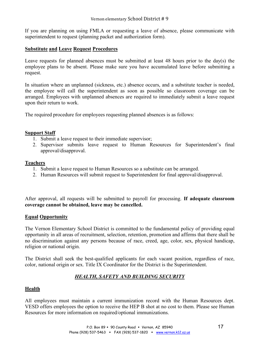If you are planning on using FMLA or requesting a leave of absence, please communicate with superintendent to request (planning packet and authorization form).

# **Substitute and Leave Request Procedures**

Leave requests for planned absences must be submitted at least 48 hours prior to the day(s) the employee plans to be absent. Please make sure you have accumulated leave before submitting a request.

In situation where an unplanned (sickness, etc.) absence occurs, and a substitute teacher is needed, the employee will call the superintendent as soon as possible so classroom coverage can be arranged. Employees with unplanned absences are required to immediately submit a leave request upon their return to work.

The required procedure for employees requesting planned absences is as follows:

# **Support Staff**

- 1. Submit a leave request to their immediate supervisor;
- 2. Supervisor submits leave request to Human Resources for Superintendent's final approval/disapproval.

# **Teachers**

- 1. Submit a leave request to Human Resources so a substitute can be arranged.
- 2. Human Resources will submit request to Superintendent for final approval/disapproval.

After approval, all requests will be submitted to payroll for processing. **If adequate classroom coverage cannot be obtained, leave may be cancelled.**

# **Equal Opportunity**

The Vernon Elementary School District is committed to the fundamental policy of providing equal opportunity in all areas of recruitment, selection, retention, promotion and affirms that there shall be no discrimination against any persons because of race, creed, age, color, sex, physical handicap, religion or national origin.

The District shall seek the best-qualified applicants for each vacant position, regardless of race, color, national origin or sex. Title IX Coordinator for the District is the Superintendent.

# *HEALTH, SAFETY AND BUILDING SECURITY*

# **Health**

All employees must maintain a current immunization record with the Human Resources dept. VESD offers employees the option to receive the HEP B shot at no cost to them. Please see Human Resources for more information on required/optional immunizations.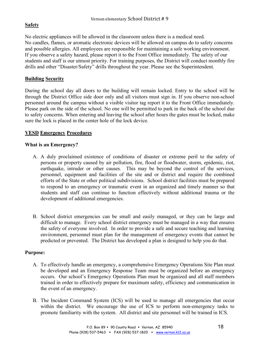# **Safety**

No electric appliances will be allowed in the classroom unless there is a medical need. No candles, flames, or aromatic electronic devices will be allowed on campus do to safety concerns and possible allergies. All employees are responsible for maintaining a safe working environment. If you observe a safety hazard, please report it to the Front Office immediately. The safety of our students and staff is our utmost priority. For training purposes, the District will conduct monthly fire drills and other "Disaster/Safety" drills throughout the year. Please see the Superintendent.

# **Building Security**

During the school day all doors to the building will remain locked. Entry to the school will be through the District Office side door only and all visitors must sign in. If you observe non-school personnel around the campus without a visible visitor tag report it to the Front Office immediately. Please park on the side of the school. No one will be permitted to park in the back of the school due to safety concerns. When entering and leaving the school after hours the gates must be locked, make sure the lock is placed in the center hole of the lock device.

# **VESD Emergency Procedures**

# **What is an Emergency?**

- A. A duly proclaimed existence of conditions of disaster or extreme peril to the safety of persons or property caused by air pollution, fire, flood or floodwater, storm, epidemic, riot, earthquake, intruder or other causes. This may be beyond the control of the services, personnel, equipment and facilities of the site and or district and require the combined efforts of the State or other political subdivisions. School district facilities must be prepared to respond to an emergency or traumatic event in an organized and timely manner so that students and staff can continue to function effectively without additional trauma or the development of additional emergencies.
- B. School district emergencies can be small and easily managed, or they can be large and difficult to manage. Every school district emergency must be managed in a way that ensures the safety of everyone involved. In order to provide a safe and secure teaching and learning environment, personnel must plan for the management of emergency events that cannot be predicted or prevented. The District has developed a plan is designed to help you do that.

# **Purpose:**

- A. To effectively handle an emergency, a comprehensive Emergency Operations Site Plan must be developed and an Emergency Response Team must be organized before an emergency occurs. Our school's Emergency Operations Plan must be organized and all staff members trained in order to effectively prepare for maximum safety, efficiency and communication in the event of an emergency.
- B. The Incident Command System (ICS) will be used to manage all emergencies that occur within the district. We encourage the use of ICS to perform non-emergency tasks to promote familiarity with the system. All district and site personnel will be trained in ICS.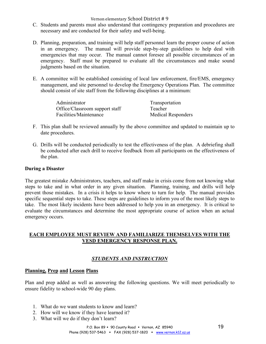- C. Students and parents must also understand that contingency preparation and procedures are necessary and are conducted for their safety and well-being.
- D. Planning, preparation, and training will help staff personnel learn the proper course of action in an emergency. The manual will provide step-by-step guidelines to help deal with emergencies that may occur. The manual cannot foresee all possible circumstances of an emergency. Staff must be prepared to evaluate all the circumstances and make sound judgments based on the situation.
- E. A committee will be established consisting of local law enforcement, fire/EMS, emergency management, and site personnel to develop the Emergency Operations Plan. The committee should consist of site staff from the following disciplines at a minimum:

| Administrator                  | Transportation            |
|--------------------------------|---------------------------|
| Office/Classroom support staff | Teacher                   |
| Facilities/Maintenance         | <b>Medical Responders</b> |

- F. This plan shall be reviewed annually by the above committee and updated to maintain up to date procedures.
- G. Drills will be conducted periodically to test the effectiveness of the plan. A debriefing shall be conducted after each drill to receive feedback from all participants on the effectiveness of the plan.

# **During a Disaster**

The greatest mistake Administrators, teachers, and staff make in crisis come from not knowing what steps to take and in what order in any given situation. Planning, training, and drills will help prevent those mistakes. In a crisis it helps to know where to turn for help. The manual provides specific sequential steps to take. These steps are guidelines to inform you of the most likely steps to take. The most likely incidents have been addressed to help you in an emergency. It is critical to evaluate the circumstances and determine the most appropriate course of action when an actual emergency occurs.

# **EACH EMPLOYEE MUST REVIEW AND FAMILIARIZE THEMSELVES WITH THE VESD EMERGENCY RESPONSE PLAN.**

# *STUDENTS AND INSTRUCTION*

# **Planning, Prep and Lesson Plans**

Plan and prep added as well as answering the following questions. We will meet periodically to ensure fidelity to school-wide 90 day plans.

- 1. What do we want students to know and learn?
- 2. How will we know if they have learned it?
- 3. What will we do if they don't learn?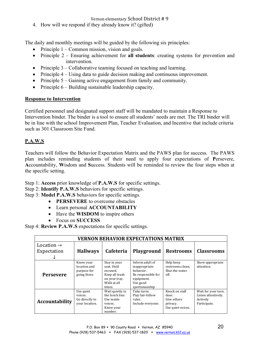4. How will we respond if they already know it? (gifted)

The daily and monthly meetings will be guided by the following six principles:

- Principle  $1 -$ Common mission, vision and goals.
- Principle 2 Ensuring achievement for **all students**: creating systems for prevention and intervention.
- Principle 3 Collaborative teaming focused on teaching and learning.
- Principle 4 Using data to guide decision making and continuous improvement.
- Principle 5 Gaining active engagement from family and community.
- Principle 6 Building sustainable leadership capacity.

# **Response to Intervention**

Certified personnel and designated support staff will be mandated to maintain a Response to Intervention binder. The binder is a tool to ensure all students' needs are met. The TRI binder will be in line with the school Improvement Plan, Teacher Evaluation, and Incentive that include criteria such as 301 Classroom Site Fund.

# **P.A.W.S**

Teachers will follow the Behavior Expectation Matrix and the PAWS plan for success. The PAWS plan includes reminding students of their need to apply four expectations of **P**ersevere, **A**ccountability, **W**isdom and **S**uccess. Students will be reminded to review the four steps when at the specific setting.

Step 1: **Access** prior knowledge of **P.A.W.S** for specific settings.

- Step 2: **Identify P.A.W.S** behaviors for specific settings.
- Step 3: **Model P.A.W.S** behaviors for specific settings.
	- **PERSEVERE** to overcome obstacles
	- Learn personal **ACCOUNTABILITY**
	- Have the **WISDOM** to inspire others
	- Focus on **SUCCESS**

Step 4: **Review P.A.W.S** expectations for specific settings.

| <b>VERNON BEHAVIOR EXPECTATIONS MATRIX</b> |                                                          |                                                                                                     |                                                                                                                |                                                                         |                                                                        |
|--------------------------------------------|----------------------------------------------------------|-----------------------------------------------------------------------------------------------------|----------------------------------------------------------------------------------------------------------------|-------------------------------------------------------------------------|------------------------------------------------------------------------|
| Location $\rightarrow$                     |                                                          |                                                                                                     |                                                                                                                |                                                                         |                                                                        |
| Expectation                                | <b>Hallways</b>                                          | Cafeteria                                                                                           | <b>Playground</b>                                                                                              | <b>Restrooms</b>                                                        | <b>Classrooms</b>                                                      |
|                                            |                                                          |                                                                                                     |                                                                                                                |                                                                         |                                                                        |
| <b>Persevere</b>                           | Know your<br>location and<br>purpose for<br>going there. | Stay in your<br>seat. Until<br>excused.<br>Keep all trash<br>on your tray.<br>Walk at all<br>times. | Inform adult of<br>inappropriate<br>hehavior.<br>Be responsible for<br>equipment.<br>Use good<br>sportsmanship | Help keep<br>restrooms clean,<br>Shut the water<br>off.                 | Show appropriate<br>attention.                                         |
| <b>Accountability</b>                      | Use quiet<br>voices.<br>Go directly to<br>your location. | Wait quietly in<br>the lunch line.<br>Use inside<br>voices.<br>Know your<br>number.                 | Take turns.<br>Play fair-follow<br>rules.<br>Include everyone.                                                 | Knock on stall<br>door.<br>Give others<br>privacy.<br>Use quiet voices. | Wait for your turn.<br>Listen attentively.<br>Actively<br>Participate. |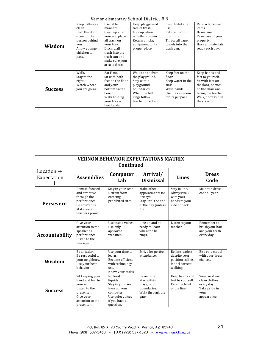Vernon elementary School District # 9

|                | Keep hallways  | Use table         | Keep playground   | Flush toilet after | Return borrowed     |
|----------------|----------------|-------------------|-------------------|--------------------|---------------------|
|                | clean.         | manners.          | free of trash.    | use.               | items.              |
|                | Hold the door  | Clean up after    | Line up when      | Return to room     | Be on time.         |
|                | open for the   | yourself; place   | whistle is blown. | promptly.          | Take care of your   |
|                | person behind  | all trash on      | Return all play   | Throw all paper    | property.           |
| Wisdom         | you.           | your tray.        | equipment to its  | towels into the    | Have all materials  |
|                | Allow younger  | Discard all       | proper place.     | trash can.         | ready each day.     |
|                | children to    | trash into the    |                   |                    |                     |
|                | pass.          | trash can and     |                   |                    |                     |
|                |                | make sure your    |                   |                    |                     |
|                |                | area is clean.    |                   |                    |                     |
|                |                |                   |                   |                    |                     |
|                | Walk.          | Eat First.        | Walk to and from  | Keep feet on the   | Keep hands and      |
|                | Stay to the    | Sit with both     | the playground.   | floor.             | feet to yourself.   |
|                | right.         | feet on the floor | Stay within       | Keep water in the  | Sit with feet on    |
|                | Watch where    | and your          | playground        | sink.              | the floor, bottom   |
| <b>Success</b> | you are going. | bottom on the     | boundaries.       | Wash hands.        | on the chair and    |
|                |                | bench.            | When the bell     | Use the restroom   | facing the teacher. |
|                |                | Walk holding      | rings follow      | for its purpose.   | Walk, don't run in  |
|                |                | your tray with    | teacher direction |                    | the classroom.      |
|                |                | two hands.        |                   |                    |                     |

| <b>VERNON BEHAVIOR EXPECTATIONS MATRIX</b> |                                                                                                                                 |                                                                                                                             |                                                                                                 |                                                                                    |                                                                                      |
|--------------------------------------------|---------------------------------------------------------------------------------------------------------------------------------|-----------------------------------------------------------------------------------------------------------------------------|-------------------------------------------------------------------------------------------------|------------------------------------------------------------------------------------|--------------------------------------------------------------------------------------|
| Continued                                  |                                                                                                                                 |                                                                                                                             |                                                                                                 |                                                                                    |                                                                                      |
| Location $\rightarrow$                     |                                                                                                                                 | Computer                                                                                                                    | Arrival/                                                                                        |                                                                                    | <b>Dress</b>                                                                         |
| Expectation                                | <b>Assemblies</b>                                                                                                               | Lab                                                                                                                         | <b>Dismissal</b>                                                                                | <b>Lines</b>                                                                       | Code                                                                                 |
| <b>Persevere</b>                           | Remain focused<br>and attentive<br>through the<br>performance.<br>Be courteous.<br>Make your<br>teachers proud                  | Stay in your seat.<br>Refrain from<br>entering<br>prohibited sites.                                                         | Make other<br>appointments for<br>Fridays.<br>Stay until the end<br>of the day (unless<br>ill). | Stay in line.<br>Always walk<br>with your<br>hands to your<br>side or back         | Maintain dress<br>code all year.                                                     |
| <b>Accountability</b>                      | Give your<br>attention to the<br>speaker or<br>performance.<br>Listen to the<br>message.                                        | Use inside voices.<br>Use only<br>approved<br>websites.                                                                     | Line up and be<br>ready to learn<br>when the hell<br>rings.                                     | Listen to your<br>teacher.                                                         | Remember to<br>brush your hair<br>and your teeth<br>every day.                       |
| Wisdom                                     | Be a leader.<br>Be respectful to<br>your neighbors.<br>Use your best<br>behavior.                                               | Use your time to<br>learn.<br>Become efficient<br>with technology<br>use.<br>Know your codes.                               | Strive for perfect<br>attendance.                                                               | Be line leaders,<br>despite your<br>position in line.<br>Model correct<br>walking. | Be a role model<br>with your dress<br>choices.                                       |
| <b>Success</b>                             | Sit keeping your<br>hand and feel to<br>vourself.<br>Listen to the<br>presenter.<br>Give your<br>attention to the<br>presenter. | No food or<br>liquids.<br>Stay in your seat.<br>Eyes on your<br>computer.<br>Use quiet voices<br>if you have a<br>question. | Be on time.<br>Stay within<br>playground<br>boundaries.<br>Walk through the<br>gate.            | Keep hands and<br>feet to yourself.<br>Face the front<br>of the line.              | Wear neat and<br>clean clothes<br>every day.<br>Take pride in<br>your<br>appearance. |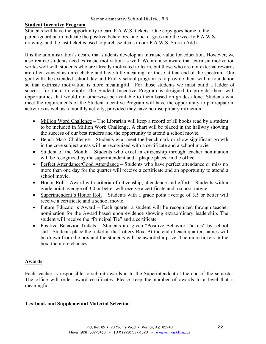# **Student Incentive Program**

Students will have the opportunity to earn P.A.W.S. tickets. One copy goes home to the parent/guardian to indicate the positive behaviors, one ticket goes into the weekly P.A.W.S. drawing, and the last ticket is used to purchase items in our P.A.W.S. Store. (Add)

It is the administration's desire that students develop an intrinsic value for education. However, we also realize students need extrinsic motivation as well. We are also aware that extrinsic motivation works well with students who are already motivated to learn, but those who are not external rewards are often viewed as unreachable and have little meaning for those at that end of the spectrum. Our goal with the extended school day and Friday school program is to provide them with a foundation so that extrinsic motivation is more meaningful. For those students we must build a ladder of success for them to climb. The Student Incentive Program is designed to provide them with opportunities that would not otherwise be available to them based on grades alone. Students who meet the requirements of the Student Incentive Program will have the opportunity to participate in activities as well as a monthly activity, provided they have no disciplinary infraction.

- Million Word Challenge The Librarian will keep a record of all books read by a student to be included in Million Work Challenge. A chart will be placed in the hallway showing the success of our best readers and the opportunity to attend a school movie.
- Bench Mark Challenge Students who meet the benchmark or show significant growth in the core subject areas will be recognized with a certificate and a school movie.
- Student of the Month Students who excel in citizenship through teacher nomination will be recognized by the superintendent and a plaque placed in the office.
- Perfect Attendance/Good Attendance Students who have perfect attendance or miss no more than one day for the quarter will receive a certificate and an opportunity to attend a school movie.
- Honor Roll Award with criteria of citizenship, attendance and effort Students with a grade point average of 3.0 or better will receive a certificate and a school movie.
- Superintendent's Honor Roll Students with a grade point average of 3.5 or better will receive a certificate and a school movie.
- Future Educator's Award Each quarter a student will be recognized through teacher nomination for the Award based upon evidence showing extraordinary leadership. The student will receive the "Principal Tie" and a certificate
- Positive Behavior Tickets Students are given "Positive Behavior Tickets" by school staff. Students place the ticket in the Lottery Box. At the end of each quarter, names will be drawn from the box and the students will be awarded a prize. The more tickets in the box, the more chances!

# **Awards**

Each teacher is responsible to submit awards at to the Superintendent at the end of the semester. The office will order award certificates. Please keep the number of awards to a level that is meaningful.

# **Textbook and Supplemental Material Selection**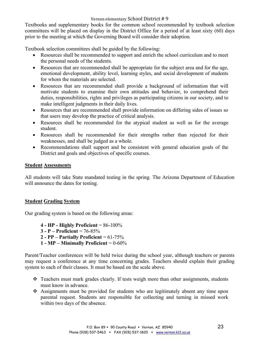Textbooks and supplementary books for the common school recommended by textbook selection committees will be placed on display in the District Office for a period of at least sixty (60) days prior to the meeting at which the Governing Board will consider their adoption.

Textbook selection committees shall be guided by the following:

- Resources shall be recommended to support and enrich the school curriculum and to meet the personal needs of the students.
- Resources that are recommended shall be appropriate for the subject area and for the age, emotional development, ability level, learning styles, and social development of students for whom the materials are selected.
- Resources that are recommended shall provide a background of information that will motivate students to examine their own attitudes and behavior, to comprehend their duties, responsibilities, rights and privileges as participating citizens in our society, and to make intelligent judgments in their daily lives.
- Resources that are recommended shall provide information on differing sides of issues so that users may develop the practice of critical analysis.
- Resources shall be recommended for the atypical student as well as for the average student.
- Resources shall be recommended for their strengths rather than rejected for their weaknesses, and shall be judged as a whole.
- Recommendations shall support and be consistent with general education goals of the District and goals and objectives of specific courses.

# **Student Assessments**

All students will take State mandated testing in the spring. The Arizona Department of Education will announce the dates for testing.

# **Student Grading System**

Our grading system is based on the following areas:

- **4 - HP - Highly Proficient** = 86-100%
- **3 - P – Proficient** = 76-85%
- **2 - PP – Partially Proficient** = 61-75%
- **1 - MP – Minimally Proficient** = 0-60%

Parent/Teacher conferences will be held twice during the school year, although teachers or parents may request a conference at any time concerning grades. Teachers should explain their grading system to each of their classes. It must be based on the scale above.

- Teachers must mark grades clearly. If tests weigh more than other assignments, students must know in advance.
- $\div$  Assignments must be provided for students who are legitimately absent any time upon parental request. Students are responsible for collecting and turning in missed work within two days of the absence.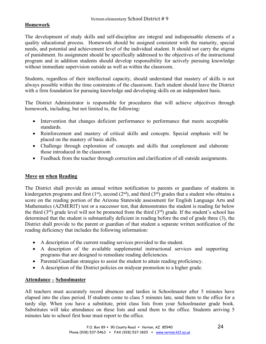# **Homework**

The development of study skills and self-discipline are integral and indispensable elements of a quality educational process. Homework should be assigned consistent with the maturity, special needs, and potential and achievement level of the individual student. It should not carry the stigma of punishment. Its assignment should be specifically addressed to the objectives of the instructional program and in addition students should develop responsibility for actively pursuing knowledge without immediate supervision outside as well as within the classroom.

Students, regardless of their intellectual capacity, should understand that mastery of skills is not always possible within the time constraints of the classroom. Each student should leave the District with a firm foundation for pursuing knowledge and developing skills on an independent basis.

The District Administrator is responsible for procedures that will achieve objectives through homework, including, but not limited to, the following:

- Intervention that changes deficient performance to performance that meets acceptable standards.
- Reinforcement and mastery of critical skills and concepts. Special emphasis will be placed on the mastery of basic skills.
- Challenge through exploration of concepts and skills that complement and elaborate those introduced in the classroom
- Feedback from the teacher through correction and clarification of all outside assignments.

# **Move on when Reading**

The District shall provide an annual written notification to parents or guardians of students in kindergarten programs and first  $(1<sup>st</sup>)$ , second  $(2<sup>nd</sup>)$ , and third  $(3<sup>rd</sup>)$  grades that a student who obtains a score on the reading portion of the Arizona Statewide assessment for English Language Arts and Mathematics (AZMERIT) test or a successor test, that demonstrates the student is reading far below the third  $(3<sup>rd</sup>)$  grade level will not be promoted from the third  $(3<sup>rd</sup>)$  grade. If the student's school has determined that the student is substantially deficient in reading before the end of grade three (3), the District shall provide to the parent or guardian of that student a separate written notification of the reading deficiency that includes the following information:

- A description of the current reading services provided to the student.
- A description of the available supplemental instructional services and supporting programs that are designed to remediate reading deficiencies.
- Parental/Guardian strategies to assist the student to attain reading proficiency.
- A description of the District policies on midyear promotion to a higher grade.

# **Attendance – Schoolmaster**

All teachers must accurately record absences and tardies in Schoolmaster after 5 minutes have elapsed into the class period. If students come to class 5 minutes late, send them to the office for a tardy slip. When you have a substitute, print class lists from your Schoolmaster grade book. Substitutes will take attendance on these lists and send them to the office. Students arriving 5 minutes late to school first hour must report to the office.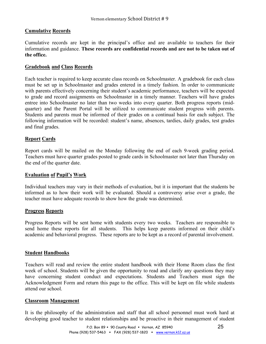# **Cumulative Records**

Cumulative records are kept in the principal's office and are available to teachers for their information and guidance. **These records are confidential records and are not to be taken out of the office.**

# **Gradebook and Class Records**

Each teacher is required to keep accurate class records on Schoolmaster. A gradebook for each class must be set up in Schoolmaster and grades entered in a timely fashion. In order to communicate with parents effectively concerning their student's academic performance, teachers will be expected to grade and record assignments on Schoolmaster in a timely manner. Teachers will have grades entree into Schoolmaster no later than two weeks into every quarter. Both progress reports (midquarter) and the Parent Portal will be utilized to communicate student progress with parents. Students and parents must be informed of their grades on a continual basis for each subject. The following information will be recorded: student's name, absences, tardies, daily grades, test grades and final grades.

# **Report Cards**

Report cards will be mailed on the Monday following the end of each 9-week grading period. Teachers must have quarter grades posted to grade cards in Schoolmaster not later than Thursday on the end of the quarter date.

# **Evaluation of Pupil's Work**

Individual teachers may vary in their methods of evaluation, but it is important that the students be informed as to how their work will be evaluated. Should a controversy arise over a grade, the teacher must have adequate records to show how the grade was determined.

# **Progress Reports**

Progress Reports will be sent home with students every two weeks. Teachers are responsible to send home these reports for all students. This helps keep parents informed on their child's academic and behavioral progress. These reports are to be kept as a record of parental involvement.

# **Student Handbooks**

Teachers will read and review the entire student handbook with their Home Room class the first week of school. Students will be given the opportunity to read and clarify any questions they may have concerning student conduct and expectations. Students and Teachers must sign the Acknowledgment Form and return this page to the office. This will be kept on file while students attend our school.

# **Classroom Management**

It is the philosophy of the administration and staff that all school personnel must work hard at developing good teacher to student relationships and be proactive in their management of student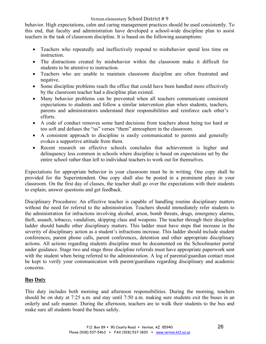behavior. High expectations, calm and caring management practices should be used consistently. To this end, that faculty and administration have developed a school-wide discipline plan to assist teachers in the task of classroom discipline. It is based on the following assumptions:

- Teachers who repeatedly and ineffectively respond to misbehavior spend less time on instruction.
- The distractions created by misbehavior within the classroom make it difficult for students to be attentive to instruction.
- Teachers who are unable to maintain classroom discipline are often frustrated and negative.
- Some discipline problems reach the office that could have been handled more effectively by the classroom teacher had a discipline plan existed.
- Many behavior problems can be prevented when all teachers communicate consistent expectations to students and follow a similar intervention plan when students, teachers, parents and administrators understand their responsibilities and reinforce each other's efforts.
- A code of conduct removes some hard decisions from teachers about being too hard or too soft and defuses the "us" verses "them" atmosphere in the classroom.
- A consistent approach to discipline is easily communicated to parents and generally evokes a supportive attitude from them.
- Recent research on effective schools concludes that achievement is higher and delinquency less common in schools where discipline is based on expectations set by the entire school rather than left to individual teachers to work out for themselves.

Expectations for appropriate behavior in your classroom must be in writing. One copy shall be provided for the Superintendent. One copy shall also be posted in a prominent place in your classroom. On the first day of classes, the teacher shall go over the expectations with their students to explain, answer questions and get feedback.

Disciplinary Procedures: An effective teacher is capable of handling routine disciplinary matters without the need for referral to the administration. Teachers should immediately refer students to the administration for infractions involving alcohol, arson, bomb threats, drugs, emergency alarms, theft, assault, tobacco, vandalism, skipping class and weapons. The teacher through their discipline ladder should handle other disciplinary matters. This ladder must have steps that increase in the severity of disciplinary action as a student's infractions increase. This ladder should include student conferences, parent phone calls, parent conferences, detention and other appropriate disciplinary actions. All actions regarding students discipline must be documented on the Schoolmaster portal under guidance. Stage two and stage three discipline referrals must have appropriate paperwork sent with the student when being referred to the administration. A log of parental/guardian contact must be kept to verify your communication with parent/guardians regarding disciplinary and academic concerns.

# **Bus Duty**

This duty includes both morning and afternoon responsibilities. During the morning, teachers should be on duty at 7:25 a.m. and stay until 7:50 a.m. making sure students exit the buses in an orderly and safe manner. During the afternoon, teachers are to walk their students to the bus and make sure all students board the buses safely.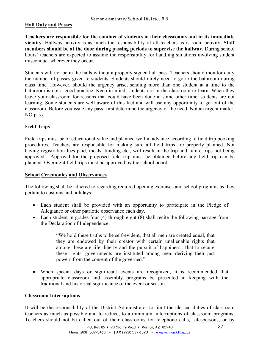# **Hall Duty and Passes**

**Teachers are responsible for the conduct of students in their classrooms and in its immediate vicinity.** Hallway activity is as much the responsibility of all teachers as is room activity. **Staff members should be at the door during passing periods to supervise the hallway.** During school hours' teachers are expected to assume the responsibility for handling situations involving student misconduct wherever they occur.

Students will not be in the halls without a properly signed hall pass. Teachers should monitor daily the number of passes given to students. Students should rarely need to go to the bathroom during class time. However, should the urgency arise, sending more than one student at a time to the bathroom is not a good practice. Keep in mind; students are in the classroom to learn. When they leave your classroom for reasons that could have been done at some other time, students are not learning. Some students are well aware of this fact and will use any opportunity to get out of the classroom. Before you issue any pass, first determine the urgency of the need. Not an urgent matter, NO pass.

# **Field Trips**

Field trips must be of educational value and planned well in advance according to field trip booking procedures. Teachers are responsible for making sure all field trips are properly planned. Not having registration fees paid, meals, funding etc., will result in the trip and future trips not being approved. Approval for the proposed field trip must be obtained before any field trip can be planned. Overnight field trips must be approved by the school board.

# **School Ceremonies and Observances**

The following shall be adhered to regarding required opening exercises and school programs as they pertain to customs and holidays:

- Each student shall be provided with an opportunity to participate in the Pledge of Allegiance or other patriotic observance each day.
- Each student in grades four (4) through eight (8) shall recite the following passage from the Declaration of Independence:

"We hold these truths to be self-evident, that all men are created equal, that they are endowed by their creator with certain unalienable rights that among these are life, liberty and the pursuit of happiness. That to secure these rights, governments are instituted among men, deriving their just powers from the consent of the governed."

• When special days or significant events are recognized, it is recommended that appropriate classroom and assembly programs be presented in keeping with the traditional and historical significance of the event or season.

# **Classroom Interruptions**

It will be the responsibility of the District Administrator to limit the clerical duties of classroom teachers as much as possible and to reduce, to a minimum, interruptions of classroom programs. Teachers should not be called out of their classrooms for telephone calls, salespersons, or by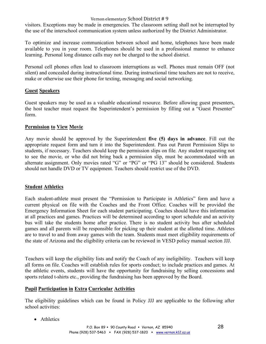visitors. Exceptions may be made in emergencies. The classroom setting shall not be interrupted by the use of the interschool communication system unless authorized by the District Administrator.

To optimize and increase communication between school and home, telephones have been made available to you in your room. Telephones should be used in a professional manner to enhance learning. Personal long distance calls may not be charged to the school district.

Personal cell phones often lead to classroom interruptions as well. Phones must remain OFF (not silent) and concealed during instructional time. During instructional time teachers are not to receive, make or otherwise use their phone for texting, messaging and social networking.

# **Guest Speakers**

Guest speakers may be used as a valuable educational resource. Before allowing guest presenters, the host teacher must request the Superintendent's permission by filling out a "Guest Presenter" form.

# **Permission to View Movie**

Any movie should be approved by the Superintendent **five (5) days in advance**. Fill out the appropriate request form and turn it into the Superintendent. Pass out Parent Permission Slips to students, if necessary. Teachers should keep the permission slips on file. Any student requesting not to see the movie, or who did not bring back a permission slip, must be accommodated with an alternate assignment. Only movies rated "G" or "PG" or "PG 13" should be considered. Students should not handle DVD or TV equipment. Teachers should restrict use of the DVD.

# **Student Athletics**

Each student-athlete must present the "Permission to Participate in Athletics" form and have a current physical on file with the Coaches and the Front Office. Coaches will be provided the Emergency Information Sheet for each student participating. Coaches should have this information at all practices and games. Practices will be determined according to sport schedule and an activity bus will take the students home after practice. There is no student activity bus after scheduled games and all parents will be responsible for picking up their student at the allotted time. Athletes are to travel to and from away games with the team. Students must meet eligibility requirements of the state of Arizona and the eligibility criteria can be reviewed in VESD policy manual section JJJ.

Teachers will keep the eligibility lists and notify the Coach of any ineligibility. Teachers will keep all forms on file. Coaches will establish rules for sports conduct; to include practices and games. At the athletic events, students will have the opportunity for fundraising by selling concessions and sports related t-shirts etc., providing the fundraising has been approved by the Board.

# **Pupil Participation in Extra Curricular Activities**

The eligibility guidelines which can be found in Policy JJJ are applicable to the following after school activities:

• Athletics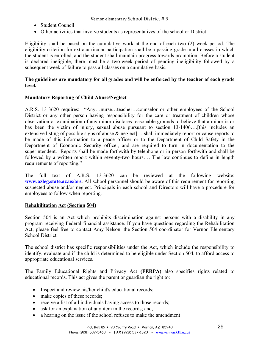- Student Council
- Other activities that involve students as representatives of the school or District

Eligibility shall be based on the cumulative work at the end of each two (2) week period. The eligibility criterion for extracurricular participation shall be a passing grade in all classes in which the student is enrolled, and the student shall maintain progress towards promotion. Before a student is declared ineligible, there must be a two-week period of pending ineligibility followed by a subsequent week of failure to pass all classes on a cumulative basis.

# **The guidelines are mandatory for all grades and will be enforced by the teacher of each grade level.**

# **Mandatory Reporting of Child Abuse/Neglect**

A.R.S. 13-3620 requires: "Any…nurse…teacher…counselor or other employees of the School District or any other person having responsibility for the care or treatment of children whose observation or examination of any minor discloses reasonable grounds to believe that a minor is or has been the victim of injury, sexual abuse pursuant to section 13-1406....[this includes an extensive listing of possible signs of abuse & neglect]….shall immediately report or cause reports to be made of this information to a peace officer or to the Department of Child Safety in the Department of Economic Security office., and are required to turn in documentation to the superintendent. Reports shall be made forthwith by telephone or in person forthwith and shall be followed by a written report within seventy-two hours…. The law continues to define in length requirements of reporting."

The full text of A.R.S. 13-3620 can be reviewed at the following website: **www.azleg.state.az.us/ars.** All school personnel should be aware of this requirement for reporting suspected abuse and/or neglect. Principals in each school and Directors will have a procedure for employees to follow when reporting.

# **Rehabilitation Act (Section 504)**

Section 504 is an Act which prohibits discrimination against persons with a disability in any program receiving Federal financial assistance. If you have questions regarding the Rehabilitation Act, please feel free to contact Amy Nelson, the Section 504 coordinator for Vernon Elementary School District.

The school district has specific responsibilities under the Act, which include the responsibility to identify, evaluate and if the child is determined to be eligible under Section 504, to afford access to appropriate educational services.

The Family Educational Rights and Privacy Act **(FERPA)** also specifies rights related to educational records. This act gives the parent or guardian the right to:

- Inspect and review his/her child's educational records;
- make copies of these records;
- receive a list of all individuals having access to those records;
- ask for an explanation of any item in the records; and,
- a hearing on the issue if the school refuses to make the amendment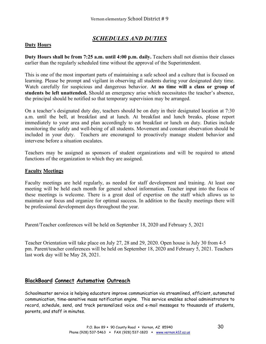# *SCHEDULES AND DUTIES*

# **Duty Hours**

**Duty Hours shall be from 7:25 a.m. until 4:00 p.m. daily.** Teachers shall not dismiss their classes earlier than the regularly scheduled time without the approval of the Superintendent.

This is one of the most important parts of maintaining a safe school and a culture that is focused on learning. Please be prompt and vigilant in observing all students during your designated duty time. Watch carefully for suspicious and dangerous behavior. **At no time will a class or group of students be left unattended.** Should an emergency arise which necessitates the teacher's absence, the principal should be notified so that temporary supervision may be arranged.

On a teacher's designated duty day, teachers should be on duty in their designated location at 7:30 a.m. until the bell, at breakfast and at lunch. At breakfast and lunch breaks, please report immediately to your area and plan accordingly to eat breakfast or lunch on duty. Duties include monitoring the safely and well-being of all students. Movement and constant observation should be included in your duty. Teachers are encouraged to proactively manage student behavior and intervene before a situation escalates.

Teachers may be assigned as sponsors of student organizations and will be required to attend functions of the organization to which they are assigned.

# **Faculty Meetings**

Faculty meetings are held regularly, as needed for staff development and training. At least one meeting will be held each month for general school information. Teacher input into the focus of these meetings is welcome. There is a great deal of expertise on the staff which allows us to maintain our focus and organize for optimal success. In addition to the faculty meetings there will be professional development days throughout the year.

Parent/Teacher conferences will be held on September 18, 2020 and February 5, 2021

Teacher Orientation will take place on July 27, 28 and 29, 2020. Open house is July 30 from 4-5 pm. Parent/teacher conferences will be held on September 18, 2020 and February 5, 2021. Teachers last work day will be May 28, 2021.

# **BlackBoard Connect Automative Outreach**

Schoolmaster service is helping educators improve communication via streamlined, efficient, automated communication, time-sensitive mass notification engine. This service enables school administrators to record, schedule, send, and track personalized voice and e-mail messages to thousands of students, parents, and staff in minutes.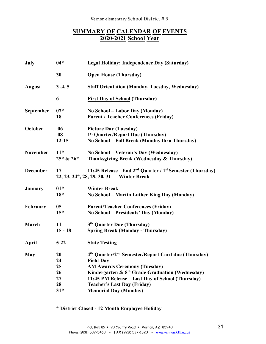# **SUMMARY OF CALENDAR OF EVENTS 2020-2021 School Year**

| July             | $04*$                                     | Legal Holiday: Independence Day (Saturday)                                                                                                                                                                                                                                                              |
|------------------|-------------------------------------------|---------------------------------------------------------------------------------------------------------------------------------------------------------------------------------------------------------------------------------------------------------------------------------------------------------|
|                  | 30                                        | <b>Open House (Thursday)</b>                                                                                                                                                                                                                                                                            |
| <b>August</b>    | 3,4,5                                     | <b>Staff Orientation (Monday, Tuesday, Wednesday)</b>                                                                                                                                                                                                                                                   |
|                  | 6                                         | <b>First Day of School (Thursday)</b>                                                                                                                                                                                                                                                                   |
| <b>September</b> | $07*$<br>18                               | No School – Labor Day (Monday)<br><b>Parent / Teacher Conferences (Friday)</b>                                                                                                                                                                                                                          |
| October          | 06<br>08<br>$12 - 15$                     | <b>Picture Day (Tuesday)</b><br>1st Quarter/Report Due (Thursday)<br>No School - Fall Break (Monday thru Thursday)                                                                                                                                                                                      |
| <b>November</b>  | $11*$<br>$25 * 826 *$                     | No School – Veteran's Day (Wednesday)<br>Thanksgiving Break (Wednesday & Thursday)                                                                                                                                                                                                                      |
| <b>December</b>  | 17                                        | 11:45 Release - End 2 <sup>nd</sup> Quarter / 1 <sup>st</sup> Semester (Thursday)<br>22, 23, 24*, 28, 29, 30, 31 Winter Break                                                                                                                                                                           |
| <b>January</b>   | $01*$<br>$18*$                            | <b>Winter Break</b><br>No School – Martin Luther King Day (Monday)                                                                                                                                                                                                                                      |
| February         | 05 <sub>1</sub><br>$15*$                  | <b>Parent/Teacher Conferences (Friday)</b><br>No School – Presidents' Day (Monday)                                                                                                                                                                                                                      |
| March            | 11<br>$15 - 18$                           | 3 <sup>th</sup> Quarter Due (Thursday)<br><b>Spring Break (Monday - Thursday)</b>                                                                                                                                                                                                                       |
| <b>April</b>     | $5 - 22$                                  | <b>State Testing</b>                                                                                                                                                                                                                                                                                    |
| <b>May</b>       | 20<br>24<br>25<br>26<br>27<br>28<br>$31*$ | 4th Quarter/2nd Semester/Report Card due (Thursday)<br><b>Field Day</b><br><b>AM Awards Ceremony (Tuesday)</b><br>Kindergarten & 8 <sup>th</sup> Grade Graduation (Wednesday)<br>11:45 PM Release - Last Day of School (Thursday)<br><b>Teacher's Last Day (Friday)</b><br><b>Memorial Day (Monday)</b> |
|                  |                                           |                                                                                                                                                                                                                                                                                                         |

**\* District Closed - 12 Month Employee Holiday**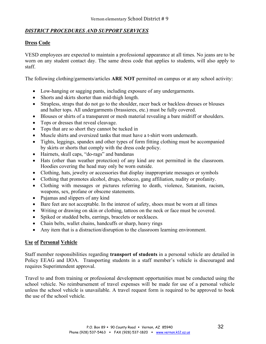# *DISTRICT PROCEDURES AND SUPPORT SERVICES*

# **Dress Code**

VESD employees are expected to maintain a professional appearance at all times. No jeans are to be worn on any student contact day. The same dress code that applies to students, will also apply to staff.

The following clothing/garments/articles **ARE NOT** permitted on campus or at any school activity:

- Low-hanging or sagging pants, including exposure of any undergarments.
- Shorts and skirts shorter than mid-thigh length.
- Strapless, straps that do not go to the shoulder, racer back or backless dresses or blouses and halter tops. All undergarments (brassieres, etc.) must be fully covered.
- Blouses or shirts of a transparent or mesh material revealing a bare midriff or shoulders.
- Tops or dresses that reveal cleavage.
- Tops that are so short they cannot be tucked in
- Muscle shirts and oversized tanks that must have a t-shirt worn underneath.
- Tights, leggings, spandex and other types of form fitting clothing must be accompanied by skirts or shorts that comply with the dress code policy.
- Hairnets, skull caps, "do-rags" and bandanas
- Hats (other than weather protection) of any kind are not permitted in the classroom. Hoodies covering the head may only be worn outside.
- Clothing, hats, jewelry or accessories that display inappropriate messages or symbols
- Clothing that promotes alcohol, drugs, tobacco, gang affiliation, nudity or profanity.
- Clothing with messages or pictures referring to death, violence, Satanism, racism, weapons, sex, profane or obscene statements.
- Pajamas and slippers of any kind
- Bare feet are not acceptable. In the interest of safety, shoes must be worn at all times
- Writing or drawing on skin or clothing, tattoos on the neck or face must be covered.
- Spiked or studded belts, earrings, bracelets or necklaces.
- Chain belts, wallet chains, handcuffs or sharp, heavy rings
- Any item that is a distraction/disruption to the classroom learning environment.

# **Use of Personal Vehicle**

Staff member responsibilities regarding **transport of students** in a personal vehicle are detailed in Policy EEAG and IJOA. Transporting students in a staff member's vehicle is discouraged and requires Superintendent approval.

Travel to and from training or professional development opportunities must be conducted using the school vehicle. No reimbursement of travel expenses will be made for use of a personal vehicle unless the school vehicle is unavailable. A travel request form is required to be approved to book the use of the school vehicle.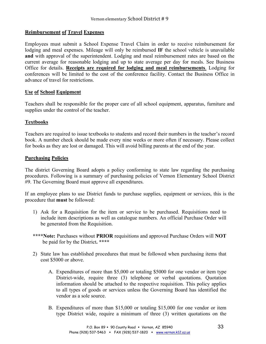# **Reimbursement of Travel Expenses**

Employees must submit a School Expense Travel Claim in order to receive reimbursement for lodging and meal expenses. Mileage will only be reimbursed **IF** the school vehicle is unavailable **and** with approval of the superintendent. Lodging and meal reimbursement rates are based on the current average for reasonable lodging and up to state average per day for meals. See Business Office for details. **Receipts are required for lodging and meal reimbursements**. Lodging for conferences will be limited to the cost of the conference facility. Contact the Business Office in advance of travel for restrictions.

# **Use of School Equipment**

Teachers shall be responsible for the proper care of all school equipment, apparatus, furniture and supplies under the control of the teacher.

# **Textbooks**

Teachers are required to issue textbooks to students and record their numbers in the teacher's record book. A number check should be made every nine weeks or more often if necessary. Please collect for books as they are lost or damaged. This will avoid billing parents at the end of the year.

# **Purchasing Policies**

The district Governing Board adopts a policy conforming to state law regarding the purchasing procedures. Following is a summary of purchasing policies of Vernon Elementary School District #9. The Governing Board must approve all expenditures.

If an employee plans to use District funds to purchase supplies, equipment or services, this is the procedure that **must** be followed:

- 1) Ask for a Requisition for the item or service to be purchased. Requisitions need to include item descriptions as well as catalogue numbers. An official Purchase Order will be generated from the Requisition.
- **\*\*\*\*Note:** Purchases without **PRIOR** requisitions and approved Purchase Orders will **NOT**  be paid for by the District**. \*\*\*\***
- 2) State law has established procedures that must be followed when purchasing items that cost \$5000 or above.
	- A. Expenditures of more than \$5,000 or totaling \$5000 for one vendor or item type District-wide, require three (3) telephone or verbal quotations. Quotation information should be attached to the respective requisition. This policy applies to all types of goods or services unless the Governing Board has identified the vendor as a sole source.
	- B. Expenditures of more than \$15,000 or totaling \$15,000 for one vendor or item type District wide, require a minimum of three (3) written quotations on the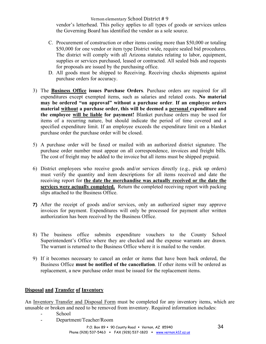vendor's letterhead. This policy applies to all types of goods or services unless the Governing Board has identified the vendor as a sole source.

- C. Procurement of construction or other items costing more than \$50,000 or totaling \$50,000 for one vendor or item type District wide, require sealed bid procedures. The district will comply with all Arizona statutes relating to labor, equipment, supplies or services purchased, leased or contracted. All sealed bids and requests for proposals are issued by the purchasing office.
- D. All goods must be shipped to Receiving. Receiving checks shipments against purchase orders for accuracy.
- 3) The **Business Office issues Purchase Orders**. Purchase orders are required for all expenditures except exempted items, such as salaries and related costs. **No material may be ordered "on approval" without a purchase order**. **If an employee orders material without a purchase order, this will be deemed a personal expenditure and the employee will be liable for payment!** Blanket purchase orders may be used for items of a recurring nature, but should indicate the period of time covered and a specified expenditure limit. If an employee exceeds the expenditure limit on a blanket purchase order the purchase order will be closed.
- 5) A purchase order will be faxed or mailed with an authorized district signature. The purchase order number must appear on all correspondence, invoices and freight bills. The cost of freight may be added to the invoice but all items must be shipped prepaid.
- 6) District employees who receive goods and/or services directly (e.g., pick up orders) must verify the quantity and item descriptions for all items received and date the receiving report for **the date the merchandise was actually received or the date the services were actually completed.** Return the completed receiving report with packing slips attached to the Business Office.
- **7)** After the receipt of goods and/or services, only an authorized signer may approve invoices for payment. Expenditures will only be processed for payment after written authorization has been received by the Business Office.
- 8) The business office submits expenditure vouchers to the County School Superintendent's Office where they are checked and the expense warrants are drawn. The warrant is returned to the Business Office where it is mailed to the vendor.
- 9) If it becomes necessary to cancel an order or items that have been back ordered, the Business Office **must be notified of the cancellation**. If other items will be ordered as replacement, a new purchase order must be issued for the replacement items.

# **Disposal and Transfer of Inventory**

An Inventory Transfer and Disposal Form must be completed for any inventory items, which are unusable or broken and need to be removed from inventory. Required information includes:

- School
- Department/Teacher/Room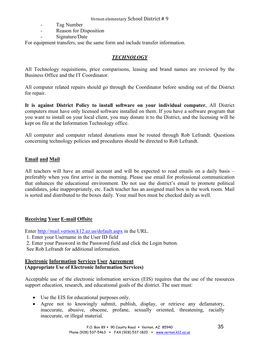- Tag Number
- Reason for Disposition
- Signature/Date

For equipment transfers, use the same form and include transfer information.

# *TECHNOLOGY*

All Technology requisitions, price comparisons, leasing and brand names are reviewed by the Business Office and the IT Coordinator.

All computer related repairs should go through the Coordinator before sending out of the District for repair.

**It is against District Policy to install software on your individual computer.** All District computers must have only licensed software installed on them. If you have a software program that you want to install on your local client, you may donate it to the District, and the licensing will be kept on file at the Information Technology office.

All computer and computer related donations must be routed through Rob Lefrandt. Questions concerning technology policies and procedures should be directed to Rob Lefrandt.

# **Email and Mail**

All teachers will have an email account and will be expected to read emails on a daily basis – preferably when you first arrive in the morning. Please use email for professional communication that enhances the educational environment. Do not use the district's email to promote political candidates, joke inappropriately, etc. Each teacher has an assigned mail box in the work room. Mail is sorted and distributed to the boxes daily. Your mail box must be checked daily as well.

# **Receiving Your E-mail Offsite**

Enter http://mail.vernon.k12.az.us/default.aspx in the URL.

1. Enter your Username in the User ID field

2. Enter your Password in the Password field and click the Login button.

See Rob Lefrandt for additional information.

# **Electronic Information Services User Agreement (Appropriate Use of Electronic Information Services)**

Acceptable use of the electronic information services (EIS) requires that the use of the resources support education, research, and educational goals of the district. The user must:

- Use the EIS for educational purposes only.
- Agree not to knowingly submit, publish, display, or retrieve any defamatory, inaccurate, abusive, obscene, profane, sexually oriented, threatening, racially inaccurate, or illegal material.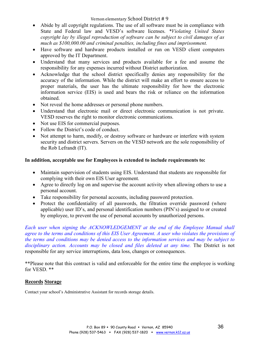- Abide by all copyright regulations. The use of all software must be in compliance with State and Federal law and VESD's software licenses. *\*Violating United States copyright lay by illegal reproduction of software can be subject to civil damages of as much as \$100,000.00 and criminal penalties, including fines and imprisonment.*
- Have software and hardware products installed or run on VESD client computers approved by the IT Department.
- Understand that many services and products available for a fee and assume the responsibility for any expenses incurred without District authorization.
- Acknowledge that the school district specifically denies any responsibility for the accuracy of the information. While the district will make an effort to ensure access to proper materials, the user has the ultimate responsibility for how the electronic information service (EIS) is used and bears the risk or reliance on the information obtained.
- Not reveal the home addresses or personal phone numbers.
- Understand that electronic mail or direct electronic communication is not private. VESD reserves the right to monitor electronic communications.
- Not use EIS for commercial purposes.
- Follow the District's code of conduct.
- Not attempt to harm, modify, or destroy software or hardware or interfere with system security and district servers. Servers on the VESD network are the sole responsibility of the Rob Lefrandt (IT).

# **In addition, acceptable use for Employees is extended to include requirements to:**

- Maintain supervision of students using EIS. Understand that students are responsible for complying with their own EIS User agreement.
- Agree to directly log on and supervise the account activity when allowing others to use a personal account.
- Take responsibility for personal accounts, including password protection.
- Protect the confidentiality of all passwords, the filtration override password (where applicable) user ID's, and personal identification numbers (PIN's) assigned to or created by employee, to prevent the use of personal accounts by unauthorized persons.

*Each user when signing the ACKNOWLEDGEMENT at the end of the Employee Manual shall agree to the terms and conditions of this EIS User Agreement. A user who violates the provisions of the terms and conditions may be denied access to the information services and may be subject to disciplinary action. Accounts may be closed and files deleted at any time.* The District is not responsible for any service interruptions, data loss, changes or consequences.

\*\*Please note that this contract is valid and enforceable for the entire time the employee is working for VESD. \*\*

# **Records Storage**

Contact your school's Administrative Assistant for records storage details.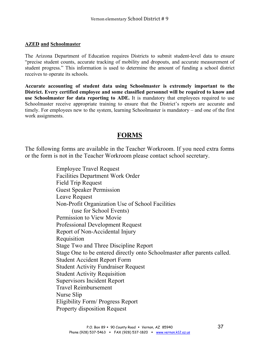# **AZED and Schoolmaster**

The Arizona Department of Education requires Districts to submit student-level data to ensure "precise student counts, accurate tracking of mobility and dropouts, and accurate measurement of student progress." This information is used to determine the amount of funding a school district receives to operate its schools.

**Accurate accounting of student data using Schoolmaster is extremely important to the District. Every certified employee and some classified personnel will be required to know and use Schoolmaster for data reporting to ADE.** It is mandatory that employees required to use Schoolmaster receive appropriate training to ensure that the District's reports are accurate and timely. For employees new to the system, learning Schoolmaster is mandatory – and one of the first work assignments.

# **FORMS**

The following forms are available in the Teacher Workroom. If you need extra forms or the form is not in the Teacher Workroom please contact school secretary.

> Employee Travel Request Facilities Department Work Order Field Trip Request Guest Speaker Permission Leave Request Non-Profit Organization Use of School Facilities (use for School Events) Permission to View Movie Professional Development Request Report of Non-Accidental Injury Requisition Stage Two and Three Discipline Report Stage One to be entered directly onto Schoolmaster after parents called. Student Accident Report Form Student Activity Fundraiser Request Student Activity Requisition Supervisors Incident Report Travel Reimbursement Nurse Slip Eligibility Form/ Progress Report Property disposition Request